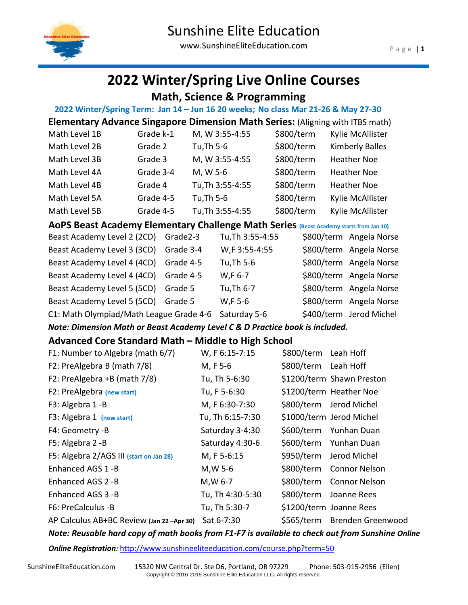

# **2022 Winter/Spring Live Online Courses**

 **Math, Science & Programming**

| 2022 Winter/Spring Term: Jan 14 - Jun 16 20 weeks; No class Mar 21-26 & May 27-30      |           |            |                  |                      |                           |
|----------------------------------------------------------------------------------------|-----------|------------|------------------|----------------------|---------------------------|
| <b>Elementary Advance Singapore Dimension Math Series: (Aligning with ITBS math)</b>   |           |            |                  |                      |                           |
| Math Level 1B                                                                          | Grade k-1 |            | M, W 3:55-4:55   | \$800/term           | Kylie McAllister          |
| Math Level 2B                                                                          | Grade 2   | Tu, Th 5-6 |                  | \$800/term           | <b>Kimberly Balles</b>    |
| Math Level 3B                                                                          | Grade 3   |            | M, W 3:55-4:55   | \$800/term           | <b>Heather Noe</b>        |
| Math Level 4A                                                                          | Grade 3-4 | M, W 5-6   |                  | \$800/term           | <b>Heather Noe</b>        |
| Math Level 4B                                                                          | Grade 4   |            | Tu, Th 3:55-4:55 | \$800/term           | <b>Heather Noe</b>        |
| Math Level 5A                                                                          | Grade 4-5 | Tu, Th 5-6 |                  | \$800/term           | Kylie McAllister          |
| Math Level 5B                                                                          | Grade 4-5 |            | Tu, Th 3:55-4:55 | \$800/term           | Kylie McAllister          |
| AoPS Beast Academy Elementary Challenge Math Series (Beast Academy starts from Jan 10) |           |            |                  |                      |                           |
| Beast Academy Level 2 (2CD)                                                            | Grade2-3  |            | Tu, Th 3:55-4:55 |                      | \$800/term Angela Norse   |
| Beast Academy Level 3 (3CD)                                                            | Grade 3-4 |            | W,F 3:55-4:55    |                      | \$800/term Angela Norse   |
| Beast Academy Level 4 (4CD)                                                            | Grade 4-5 |            | Tu, Th 5-6       |                      | \$800/term Angela Norse   |
| Beast Academy Level 4 (4CD)                                                            | Grade 4-5 |            | W,F 6-7          |                      | \$800/term Angela Norse   |
| Beast Academy Level 5 (5CD)                                                            | Grade 5   |            | Tu, Th 6-7       |                      | \$800/term Angela Norse   |
| Beast Academy Level 5 (5CD)                                                            | Grade 5   |            | $W, F$ 5-6       |                      | \$800/term Angela Norse   |
| C1: Math Olympiad/Math League Grade 4-6 Saturday 5-6                                   |           |            |                  |                      | \$400/term Jerod Michel   |
| Note: Dimension Math or Beast Academy Level C & D Practice book is included.           |           |            |                  |                      |                           |
| Advanced Core Standard Math - Middle to High School                                    |           |            |                  |                      |                           |
| F1: Number to Algebra (math 6/7)                                                       |           |            | W, F 6:15-7:15   | \$800/term Leah Hoff |                           |
| F2: PreAlgebra B (math 7/8)                                                            |           | M, F 5-6   |                  | \$800/term Leah Hoff |                           |
| F2: PreAlgebra +B (math 7/8)                                                           |           |            | Tu, Th 5-6:30    |                      | \$1200/term Shawn Preston |
| F2: PreAlgebra (new start)                                                             |           |            | Tu, F 5-6:30     |                      | \$1200/term Heather Noe   |
| F3: Algebra 1-B                                                                        |           |            | M, F 6:30-7:30   |                      | \$800/term Jerod Michel   |
| F3: Algebra 1 (new start)                                                              |           |            | Tu, Th 6:15-7:30 |                      | \$1000/term Jerod Michel  |
| F4: Geometry -B                                                                        |           |            | Saturday 3-4:30  |                      | \$600/term Yunhan Duan    |
| F5: Algebra 2 -B                                                                       |           |            | Saturday 4:30-6  | \$600/term           | Yunhan Duan               |
| F5: Algebra 2/AGS III (start on Jan 28)                                                |           |            | M, F 5-6:15      | \$950/term           | Jerod Michel              |
| Enhanced AGS 1-B                                                                       |           | M, W 5-6   |                  | \$800/term           | <b>Connor Nelson</b>      |
| Enhanced AGS 2 -B                                                                      |           | M, W 6-7   |                  | \$800/term           | <b>Connor Nelson</b>      |
| Enhanced AGS 3 -B                                                                      |           |            | Tu, Th 4:30-5:30 | \$800/term           | Joanne Rees               |
| F6: PreCalculus -B                                                                     |           |            | Tu, Th 5:30-7    |                      | \$1200/term Joanne Rees   |
| AP Calculus AB+BC Review (Jan 22 -Apr 30)                                              |           |            | Sat 6-7:30       | \$565/term           | Brenden Greenwood         |

*Note: Reusable hard copy of math books from F1-F7 is available to check out from Sunshine Online* 

**Online Registration**: <http://www.sunshineeliteeducation.com/course.php?term=50>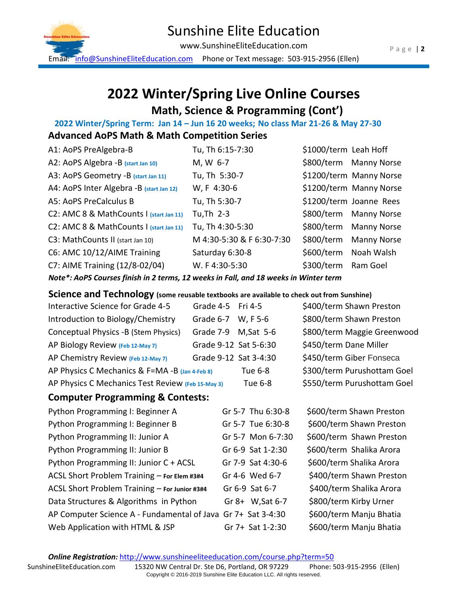

## Sunshine Elite Education

www.SunshineEliteEducation.com

Email: [info@SunshineEliteEducation.com](mailto:info@SunshineEliteEducation.com) Phone or Text message: 503-915-2956 (Ellen)

## **2022 Winter/Spring Live Online Courses Math, Science & Programming (Cont')**

 **2022 Winter/Spring Term: Jan 14 – Jun 16 20 weeks; No class Mar 21-26 & May 27-30**

### **Advanced AoPS Math & Math Competition Series**

| A1: AoPS PreAlgebra-B                    | Tu, Th 6:15-7:30          | \$1000/term Leah Hoff |                         |
|------------------------------------------|---------------------------|-----------------------|-------------------------|
| A2: AoPS Algebra -B (start Jan 10)       | M, W 6-7                  |                       | \$800/term Manny Norse  |
| A3: AoPS Geometry -B (start Jan 11)      | Tu, Th 5:30-7             |                       | \$1200/term Manny Norse |
| A4: AoPS Inter Algebra -B (start Jan 12) | W, F 4:30-6               |                       | \$1200/term Manny Norse |
| A5: AoPS PreCalculus B                   | Tu, Th 5:30-7             |                       | \$1200/term Joanne Rees |
| C2: AMC 8 & MathCounts I (start Jan 11)  | Tu, Th $2-3$              |                       | \$800/term Manny Norse  |
| C2: AMC 8 & MathCounts I (start Jan 11)  | Tu, Th 4:30-5:30          |                       | \$800/term Manny Norse  |
| C3: MathCounts II (start Jan 10)         | M 4:30-5:30 & F 6:30-7:30 |                       | \$800/term Manny Norse  |
| C6: AMC 10/12/AIME Training              | Saturday 6:30-8           |                       | \$600/term Noah Walsh   |
| C7: AIME Training (12/8-02/04)           | W. F 4:30-5:30            | \$300/term Ram Goel   |                         |
|                                          |                           |                       |                         |

*Note\*: AoPS Courses finish in 2 terms, 12 weeks in Fall, and 18 weeks in Winter term*

### **Science and Technology (some reusable textbooks are available to check out from Sunshine)**

| Interactive Science for Grade 4-5                 | Grade 4-5 Fri 4-5     |                | \$400/term Shawn Preston    |
|---------------------------------------------------|-----------------------|----------------|-----------------------------|
| Introduction to Biology/Chemistry                 | Grade 6-7 W, F 5-6    |                | \$800/term Shawn Preston    |
| Conceptual Physics -B (Stem Physics)              | Grade 7-9 M, Sat 5-6  |                | \$800/term Maggie Greenwood |
| AP Biology Review (Feb 12-May 7)                  | Grade 9-12 Sat 5-6:30 |                | \$450/term Dane Miller      |
| AP Chemistry Review (Feb 12-May 7)                | Grade 9-12 Sat 3-4:30 |                | \$450/term Giber Fonseca    |
| AP Physics C Mechanics & F=MA-B (Jan 4-Feb 8)     |                       | Tue 6-8        | \$300/term Purushottam Goel |
| AP Physics C Mechanics Test Review (Feb 15-May 3) |                       | <b>Tue 6-8</b> | \$550/term Purushottam Goel |

#### **Computer Programming & Contests:**

| Python Programming I: Beginner A                             | Gr 5-7 Thu 6:30-8 | \$600/term Shawn Preston |
|--------------------------------------------------------------|-------------------|--------------------------|
| Python Programming I: Beginner B                             | Gr 5-7 Tue 6:30-8 | \$600/term Shawn Preston |
| Python Programming II: Junior A                              | Gr 5-7 Mon 6-7:30 | \$600/term Shawn Preston |
| Python Programming II: Junior B                              | Gr 6-9 Sat 1-2:30 | \$600/term Shalika Arora |
| Python Programming II: Junior C + ACSL                       | Gr 7-9 Sat 4:30-6 | \$600/term Shalika Arora |
| ACSL Short Problem Training - For Elem #3#4                  | Gr 4-6 Wed 6-7    | \$400/term Shawn Preston |
| ACSL Short Problem Training - For Junior #3#4                | Gr 6-9 Sat 6-7    | \$400/term Shalika Arora |
| Data Structures & Algorithms in Python                       | Gr 8+ W, Sat 6-7  | \$800/term Kirby Urner   |
| AP Computer Science A - Fundamental of Java Gr 7+ Sat 3-4:30 |                   | \$600/term Manju Bhatia  |
| Web Application with HTML & JSP                              | Gr 7+ Sat 1-2:30  | \$600/term Manju Bhatia  |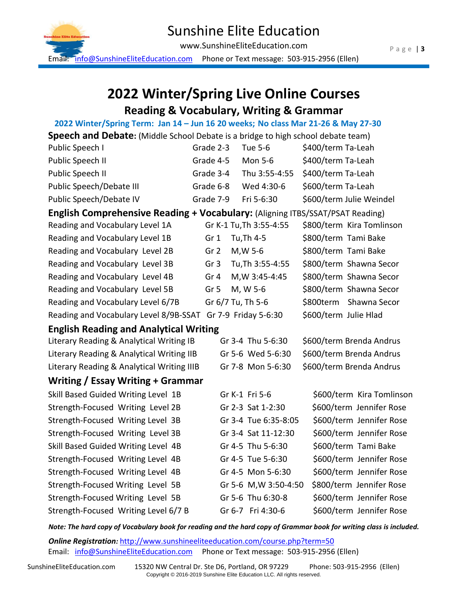

## Sunshine Elite Education

www.SunshineEliteEducation.com

Email: [info@SunshineEliteEducation.com](mailto:info@SunshineEliteEducation.com) Phone or Text message: 503-915-2956 (Ellen)

## **2022 Winter/Spring Live Online Courses Reading & Vocabulary, Writing & Grammar**

 **2022 Winter/Spring Term: Jan 14 – Jun 16 20 weeks; No class Mar 21-26 & May 27-30**

| ZUZZ WINTER/SPINIK TENIH. JAN 14 TJUN 10 ZU WEEKS, NO CRISS IVRN ZI-ZO & IVRY Z7-SU  |                 |                         |                           |
|--------------------------------------------------------------------------------------|-----------------|-------------------------|---------------------------|
| Speech and Debate: (Middle School Debate is a bridge to high school debate team)     |                 |                         |                           |
| Public Speech I                                                                      | Grade 2-3       | Tue 5-6                 | \$400/term Ta-Leah        |
| Public Speech II                                                                     | Grade 4-5       | Mon 5-6                 | \$400/term Ta-Leah        |
| Public Speech II                                                                     | Grade 3-4       | Thu 3:55-4:55           | \$400/term Ta-Leah        |
| Public Speech/Debate III                                                             | Grade 6-8       | Wed 4:30-6              | \$600/term Ta-Leah        |
| Public Speech/Debate IV                                                              | Grade 7-9       | Fri 5-6:30              | \$600/term Julie Weindel  |
| <b>English Comprehensive Reading + Vocabulary:</b> (Aligning ITBS/SSAT/PSAT Reading) |                 |                         |                           |
| Reading and Vocabulary Level 1A                                                      |                 | Gr K-1 Tu, Th 3:55-4:55 | \$800/term Kira Tomlinson |
| Reading and Vocabulary Level 1B                                                      | Gr 1            | Tu, Th 4-5              | \$800/term Tami Bake      |
| Reading and Vocabulary Level 2B                                                      | Gr <sub>2</sub> | M, W 5-6                | \$800/term Tami Bake      |
| Reading and Vocabulary Level 3B                                                      | Gr <sub>3</sub> | Tu, Th 3:55-4:55        | \$800/term Shawna Secor   |
| Reading and Vocabulary Level 4B                                                      | Gr 4            | M, W 3:45-4:45          | \$800/term Shawna Secor   |

Reading and Vocabulary Level 5B Gr 5 M, W 5-6 \$800/term Shawna Secor Reading and Vocabulary Level 6/7B Gr 6/7 Tu, Th 5-6 \$800term Shawna Secor Reading and Vocabulary Level 8/9B-SSAT Gr 7-9 Friday 5-6:30 \$600/term Julie Hlad

Literary Reading & Analytical Writing IB Gr 3-4 Thu 5-6:30 \$600/term Brenda Andrus Literary Reading & Analytical Writing IIB Gr 5-6 Wed 5-6:30 \$600/term Brenda Andrus Literary Reading & Analytical Writing IIIB Gr 7-8 Mon 5-6:30 \$600/term Brenda Andrus

**Writing / Essay Writing + Grammar**

**English Reading and Analytical Writing**

| Skill Based Guided Writing Level 1B  | Gr K-1 Fri 5-6        |                      | \$600/term Kira Tomlinson |
|--------------------------------------|-----------------------|----------------------|---------------------------|
| Strength-Focused Writing Level 2B    | Gr 2-3 Sat 1-2:30     |                      | \$600/term Jennifer Rose  |
| Strength-Focused Writing Level 3B    | Gr 3-4 Tue 6:35-8:05  |                      | \$600/term Jennifer Rose  |
| Strength-Focused Writing Level 3B    | Gr 3-4 Sat 11-12:30   |                      | \$600/term Jennifer Rose  |
| Skill Based Guided Writing Level 4B  | Gr 4-5 Thu 5-6:30     | \$600/term Tami Bake |                           |
| Strength-Focused Writing Level 4B    | Gr 4-5 Tue 5-6:30     |                      | \$600/term Jennifer Rose  |
| Strength-Focused Writing Level 4B    | Gr 4-5 Mon 5-6:30     |                      | \$600/term Jennifer Rose  |
| Strength-Focused Writing Level 5B    | Gr 5-6 M, W 3:50-4:50 |                      | \$800/term Jennifer Rose  |
| Strength-Focused Writing Level 5B    | Gr 5-6 Thu 6:30-8     |                      | \$600/term Jennifer Rose  |
| Strength-Focused Writing Level 6/7 B | Gr 6-7 Fri 4:30-6     |                      | \$600/term Jennifer Rose  |
|                                      |                       |                      |                           |

*Note: The hard copy of Vocabulary book for reading and the hard copy of Grammar book for writing class is included.* 

**Online Registration**: <http://www.sunshineeliteeducation.com/course.php?term=50> Email: [info@SunshineEliteEducation.com](mailto:info@SunshineEliteEducation.com) Phone or Text message: 503-915-2956 (Ellen)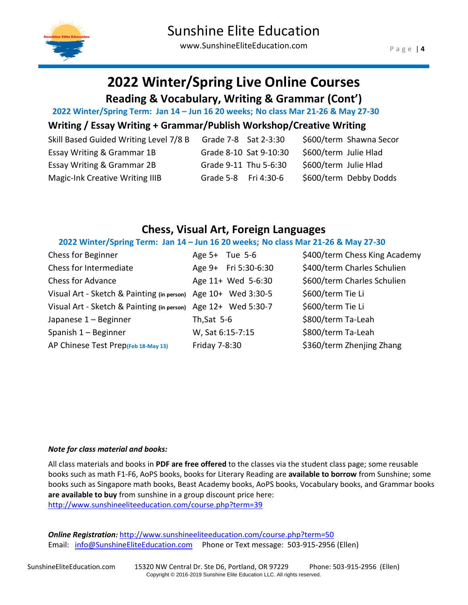

# **2022 Winter/Spring Live Online Courses**

**Reading & Vocabulary, Writing & Grammar (Cont')**

 **2022 Winter/Spring Term: Jan 14 – Jun 16 20 weeks; No class Mar 21-26 & May 27-30**

### **Writing / Essay Writing + Grammar/Publish Workshop/Creative Writing**

| Skill Based Guided Writing Level 7/8 B | Grade 7-8 Sat 2-3:30   | \$600/term Shawna Secor |
|----------------------------------------|------------------------|-------------------------|
| Essay Writing & Grammar 1B             | Grade 8-10 Sat 9-10:30 | \$600/term Julie Hlad   |
| <b>Essay Writing &amp; Grammar 2B</b>  | Grade 9-11 Thu 5-6:30  | \$600/term Julie Hlad   |
| <b>Magic-Ink Creative Writing IIIB</b> | Grade 5-8 Fri 4:30-6   | \$600/term Debby Dodds  |

## **Chess, Visual Art, Foreign Languages**

#### **2022 Winter/Spring Term: Jan 14 – Jun 16 20 weeks; No class Mar 21-26 & May 27-30**

| Chess for Beginner                                            | Age $5+$ Tue $5-6$   | \$400/term Chess King Academy |
|---------------------------------------------------------------|----------------------|-------------------------------|
| Chess for Intermediate                                        | Age 9+ Fri 5:30-6:30 | \$400/term Charles Schulien   |
| <b>Chess for Advance</b>                                      | Age 11+ Wed 5-6:30   | \$600/term Charles Schulien   |
| Visual Art - Sketch & Painting (in person) Age 10+ Wed 3:30-5 |                      | \$600/term Tie Li             |
| Visual Art - Sketch & Painting (in person) Age 12+ Wed 5:30-7 |                      | \$600/term Tie Li             |
| Japanese 1 - Beginner                                         | Th, Sat $5-6$        | \$800/term Ta-Leah            |
| Spanish 1 - Beginner                                          | W, Sat 6:15-7:15     | \$800/term Ta-Leah            |
| AP Chinese Test Prep(Feb 18-May 13)                           | Friday 7-8:30        | \$360/term Zhenjing Zhang     |

#### *Note for class material and books:*

All class materials and books in **PDF are free offered** to the classes via the student class page; some reusable books such as math F1-F6, AoPS books, books for Literary Reading are **available to borrow** from Sunshine; some books such as Singapore math books, Beast Academy books, AoPS books, Vocabulary books, and Grammar books **are available to buy** from sunshine in a group discount price here: <http://www.sunshineeliteeducation.com/course.php?term=39>

**Online Registration**: <http://www.sunshineeliteeducation.com/course.php?term=50> Email: [info@SunshineEliteEducation.com](mailto:info@SunshineEliteEducation.com) Phone or Text message: 503-915-2956 (Ellen)